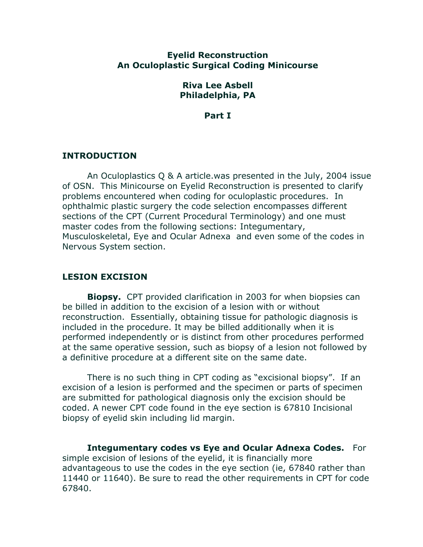# **Eyelid Reconstruction An Oculoplastic Surgical Coding Minicourse**

### **Riva Lee Asbell Philadelphia, PA**

**Part I**

# **INTRODUCTION**

An Oculoplastics Q & A article.was presented in the July, 2004 issue of OSN. This Minicourse on Eyelid Reconstruction is presented to clarify problems encountered when coding for oculoplastic procedures. In ophthalmic plastic surgery the code selection encompasses different sections of the CPT (Current Procedural Terminology) and one must master codes from the following sections: Integumentary, Musculoskeletal, Eye and Ocular Adnexa and even some of the codes in Nervous System section.

# **LESION EXCISION**

**Biopsy.** CPT provided clarification in 2003 for when biopsies can be billed in addition to the excision of a lesion with or without reconstruction. Essentially, obtaining tissue for pathologic diagnosis is included in the procedure. It may be billed additionally when it is performed independently or is distinct from other procedures performed at the same operative session, such as biopsy of a lesion not followed by a definitive procedure at a different site on the same date.

There is no such thing in CPT coding as "excisional biopsy". If an excision of a lesion is performed and the specimen or parts of specimen are submitted for pathological diagnosis only the excision should be coded. A newer CPT code found in the eye section is 67810 Incisional biopsy of eyelid skin including lid margin.

**Integumentary codes vs Eye and Ocular Adnexa Codes.** For simple excision of lesions of the eyelid, it is financially more advantageous to use the codes in the eye section (ie, 67840 rather than 11440 or 11640). Be sure to read the other requirements in CPT for code 67840.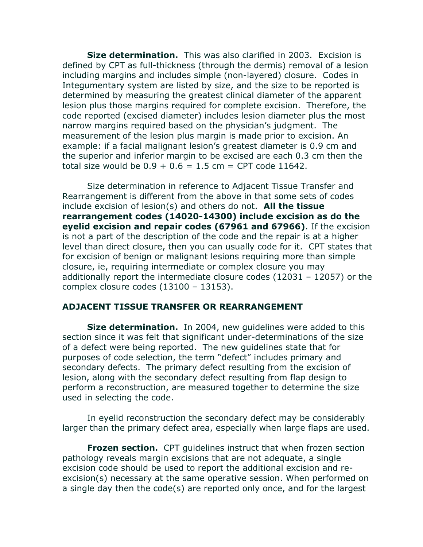**Size determination.** This was also clarified in 2003. Excision is defined by CPT as full-thickness (through the dermis) removal of a lesion including margins and includes simple (non-layered) closure. Codes in Integumentary system are listed by size, and the size to be reported is determined by measuring the greatest clinical diameter of the apparent lesion plus those margins required for complete excision. Therefore, the code reported (excised diameter) includes lesion diameter plus the most narrow margins required based on the physician's judgment. The measurement of the lesion plus margin is made prior to excision. An example: if a facial malignant lesion's greatest diameter is 0.9 cm and the superior and inferior margin to be excised are each 0.3 cm then the total size would be  $0.9 + 0.6 = 1.5$  cm = CPT code 11642.

Size determination in reference to Adjacent Tissue Transfer and Rearrangement is different from the above in that some sets of codes include excision of lesion(s) and others do not. **All the tissue rearrangement codes (14020-14300) include excision as do the eyelid excision and repair codes (67961 and 67966)**. If the excision is not a part of the description of the code and the repair is at a higher level than direct closure, then you can usually code for it. CPT states that for excision of benign or malignant lesions requiring more than simple closure, ie, requiring intermediate or complex closure you may additionally report the intermediate closure codes (12031 – 12057) or the complex closure codes (13100 – 13153).

### **ADJACENT TISSUE TRANSFER OR REARRANGEMENT**

**Size determination.** In 2004, new guidelines were added to this section since it was felt that significant under-determinations of the size of a defect were being reported. The new guidelines state that for purposes of code selection, the term "defect" includes primary and secondary defects. The primary defect resulting from the excision of lesion, along with the secondary defect resulting from flap design to perform a reconstruction, are measured together to determine the size used in selecting the code.

In eyelid reconstruction the secondary defect may be considerably larger than the primary defect area, especially when large flaps are used.

**Frozen section.** CPT guidelines instruct that when frozen section pathology reveals margin excisions that are not adequate, a single excision code should be used to report the additional excision and reexcision(s) necessary at the same operative session. When performed on a single day then the code(s) are reported only once, and for the largest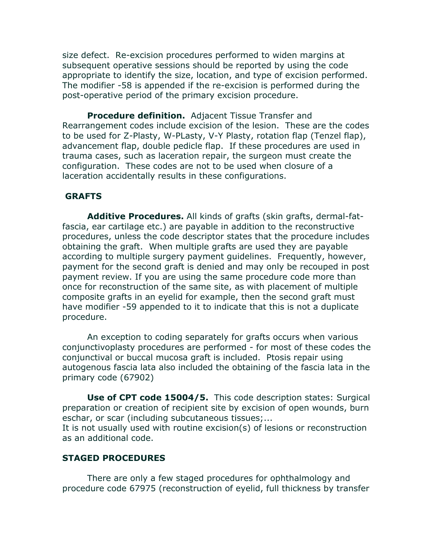size defect. Re-excision procedures performed to widen margins at subsequent operative sessions should be reported by using the code appropriate to identify the size, location, and type of excision performed. The modifier -58 is appended if the re-excision is performed during the post-operative period of the primary excision procedure.

**Procedure definition.** Adjacent Tissue Transfer and Rearrangement codes include excision of the lesion. These are the codes to be used for Z-Plasty, W-PLasty, V-Y Plasty, rotation flap (Tenzel flap), advancement flap, double pedicle flap. If these procedures are used in trauma cases, such as laceration repair, the surgeon must create the configuration. These codes are not to be used when closure of a laceration accidentally results in these configurations.

# **GRAFTS**

**Additive Procedures.** All kinds of grafts (skin grafts, dermal-fatfascia, ear cartilage etc.) are payable in addition to the reconstructive procedures, unless the code descriptor states that the procedure includes obtaining the graft. When multiple grafts are used they are payable according to multiple surgery payment guidelines. Frequently, however, payment for the second graft is denied and may only be recouped in post payment review. If you are using the same procedure code more than once for reconstruction of the same site, as with placement of multiple composite grafts in an eyelid for example, then the second graft must have modifier -59 appended to it to indicate that this is not a duplicate procedure.

An exception to coding separately for grafts occurs when various conjunctivoplasty procedures are performed - for most of these codes the conjunctival or buccal mucosa graft is included. Ptosis repair using autogenous fascia lata also included the obtaining of the fascia lata in the primary code (67902)

**Use of CPT code 15004/5.** This code description states: Surgical preparation or creation of recipient site by excision of open wounds, burn eschar, or scar (including subcutaneous tissues;...

It is not usually used with routine excision(s) of lesions or reconstruction as an additional code.

### **STAGED PROCEDURES**

There are only a few staged procedures for ophthalmology and procedure code 67975 (reconstruction of eyelid, full thickness by transfer